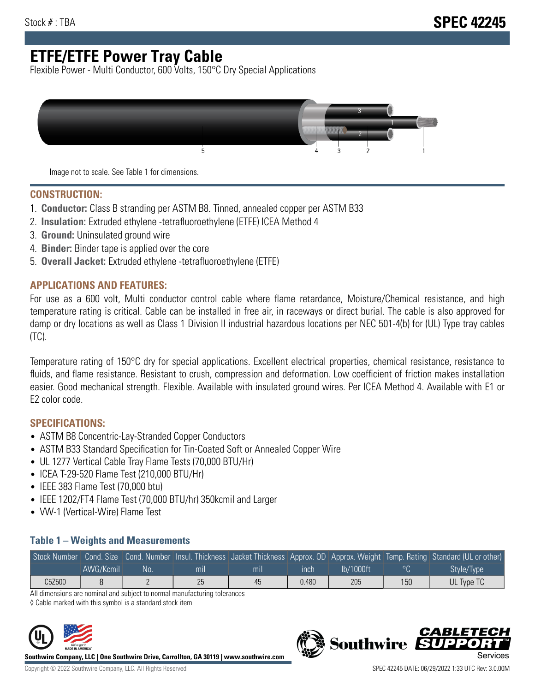# **ETFE/ETFE Power Tray Cable**

Flexible Power - Multi Conductor, 600 Volts, 150°C Dry Special Applications



Image not to scale. See Table 1 for dimensions.

#### **CONSTRUCTION:**

- 1. **Conductor:** Class B stranding per ASTM B8. Tinned, annealed copper per ASTM B33
- 2. **Insulation:** Extruded ethylene -tetrafluoroethylene (ETFE) ICEA Method 4
- 3. **Ground:** Uninsulated ground wire
- 4. **Binder:** Binder tape is applied over the core
- 5. **Overall Jacket:** Extruded ethylene -tetrafluoroethylene (ETFE)

#### **APPLICATIONS AND FEATURES:**

For use as a 600 volt, Multi conductor control cable where flame retardance, Moisture/Chemical resistance, and high temperature rating is critical. Cable can be installed in free air, in raceways or direct burial. The cable is also approved for damp or dry locations as well as Class 1 Division II industrial hazardous locations per NEC 501-4(b) for (UL) Type tray cables (TC).

Temperature rating of 150°C dry for special applications. Excellent electrical properties, chemical resistance, resistance to fluids, and flame resistance. Resistant to crush, compression and deformation. Low coefficient of friction makes installation easier. Good mechanical strength. Flexible. Available with insulated ground wires. Per ICEA Method 4. Available with E1 or E2 color code.

### **SPECIFICATIONS:**

- ASTM B8 Concentric-Lay-Stranded Copper Conductors
- ASTM B33 Standard Specification for Tin-Coated Soft or Annealed Copper Wire
- UL 1277 Vertical Cable Tray Flame Tests (70,000 BTU/Hr)
- ICEA T-29-520 Flame Test (210,000 BTU/Hr)
- IEEE 383 Flame Test (70,000 btu)
- IEEE 1202/FT4 Flame Test (70,000 BTU/hr) 350kcmil and Larger
- VW-1 (Vertical-Wire) Flame Test

#### **Table 1 – Weights and Measurements**

| Stock Number |           |    |     |     |       |           |     | Cond. Size Cond. Number Insul. Thickness Jacket Thickness Approx. OD Approx. Weight Temp. Rating Standard (UL or other) |
|--------------|-----------|----|-----|-----|-------|-----------|-----|-------------------------------------------------------------------------------------------------------------------------|
|              | AWG/Kcmil | No | mıl | mil | ınch  | lb/1000ft | ാറ  | Style/Type                                                                                                              |
| C5Z500       |           |    | 25  | 45  | 0.480 | 205       | 150 | UL Type TC                                                                                                              |

All dimensions are nominal and subject to normal manufacturing tolerances

◊ Cable marked with this symbol is a standard stock item



**Southwire Company, LLC | One Southwire Drive, Carrollton, GA 30119 | www.southwire.com**

**Southwire** 

CARLET